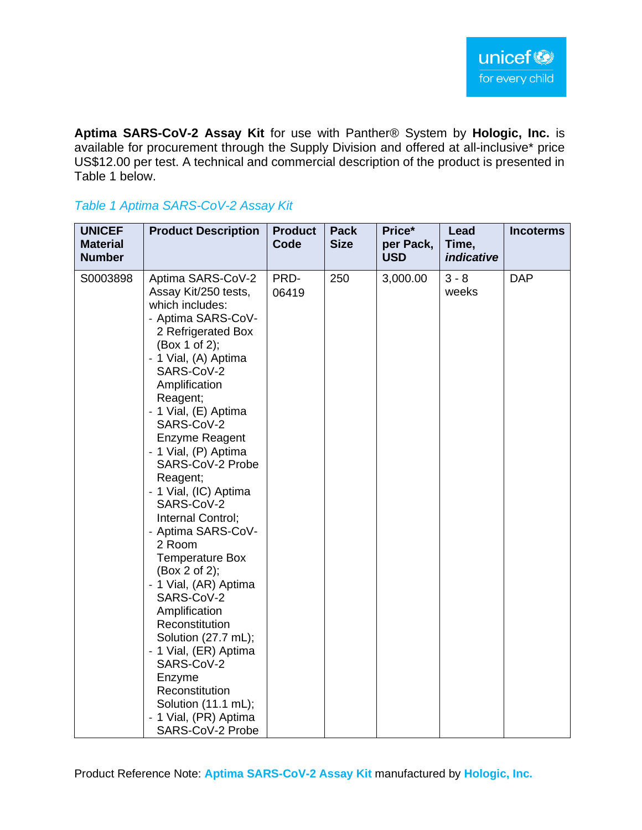**Aptima SARS-CoV-2 Assay Kit** for use with Panther® System by **Hologic, Inc.** is available for procurement through the Supply Division and offered at all-inclusive\* price US\$12.00 per test. A technical and commercial description of the product is presented in Table 1 below.

#### *Table 1 Aptima SARS-CoV-2 Assay Kit*

| <b>UNICEF</b><br><b>Material</b><br><b>Number</b> | <b>Product Description</b>                                                                                                                                                                                                                                                                                                                                                                                                                                                                                                                                                                                                                                                                  | <b>Product</b><br>Code | <b>Pack</b><br><b>Size</b> | Price*<br>per Pack,<br><b>USD</b> | Lead<br>Time,<br><i>indicative</i> | <b>Incoterms</b> |
|---------------------------------------------------|---------------------------------------------------------------------------------------------------------------------------------------------------------------------------------------------------------------------------------------------------------------------------------------------------------------------------------------------------------------------------------------------------------------------------------------------------------------------------------------------------------------------------------------------------------------------------------------------------------------------------------------------------------------------------------------------|------------------------|----------------------------|-----------------------------------|------------------------------------|------------------|
| S0003898                                          | Aptima SARS-CoV-2<br>Assay Kit/250 tests,<br>which includes:<br>- Aptima SARS-CoV-<br>2 Refrigerated Box<br>(Box 1 of 2);<br>- 1 Vial, (A) Aptima<br>SARS-CoV-2<br>Amplification<br>Reagent;<br>- 1 Vial, (E) Aptima<br>SARS-CoV-2<br>Enzyme Reagent<br>- 1 Vial, (P) Aptima<br>SARS-CoV-2 Probe<br>Reagent;<br>- 1 Vial, (IC) Aptima<br>SARS-CoV-2<br>Internal Control;<br>- Aptima SARS-CoV-<br>2 Room<br><b>Temperature Box</b><br>(Box 2 of 2);<br>- 1 Vial, (AR) Aptima<br>SARS-CoV-2<br>Amplification<br>Reconstitution<br>Solution (27.7 mL);<br>- 1 Vial, (ER) Aptima<br>SARS-CoV-2<br>Enzyme<br>Reconstitution<br>Solution (11.1 mL);<br>- 1 Vial, (PR) Aptima<br>SARS-CoV-2 Probe | PRD-<br>06419          | 250                        | 3,000.00                          | $3 - 8$<br>weeks                   | <b>DAP</b>       |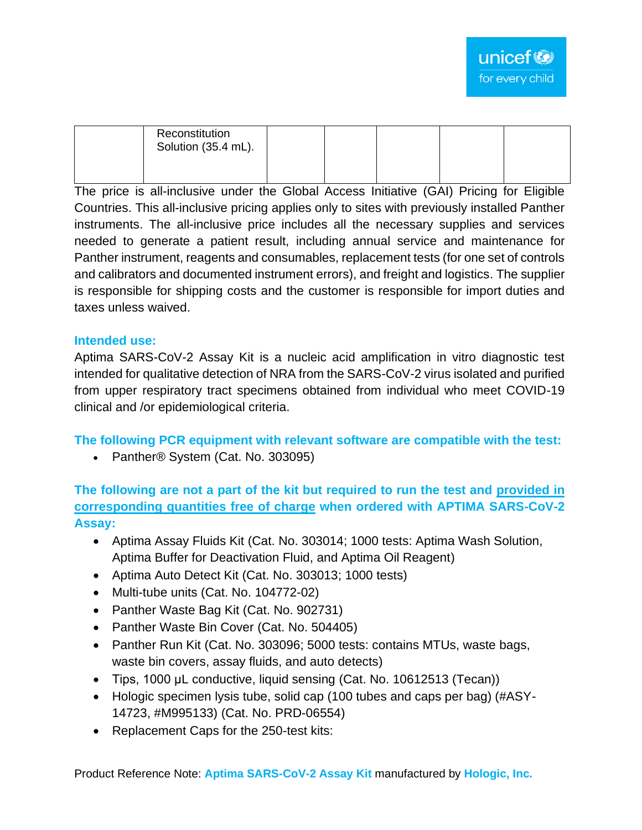| Reconstitution<br>Solution (35.4 mL). |  |  |  |
|---------------------------------------|--|--|--|
|                                       |  |  |  |

The price is all-inclusive under the Global Access Initiative (GAI) Pricing for Eligible Countries. This all-inclusive pricing applies only to sites with previously installed Panther instruments. The all-inclusive price includes all the necessary supplies and services needed to generate a patient result, including annual service and maintenance for Panther instrument, reagents and consumables, replacement tests (for one set of controls and calibrators and documented instrument errors), and freight and logistics. The supplier is responsible for shipping costs and the customer is responsible for import duties and taxes unless waived.

#### **Intended use:**

Aptima SARS-CoV-2 Assay Kit is a nucleic acid amplification in vitro diagnostic test intended for qualitative detection of NRA from the SARS-CoV-2 virus isolated and purified from upper respiratory tract specimens obtained from individual who meet COVID-19 clinical and /or epidemiological criteria.

**The following PCR equipment with relevant software are compatible with the test:**

• Panther® System (Cat. No. 303095)

**The following are not a part of the kit but required to run the test and provided in corresponding quantities free of charge when ordered with APTIMA SARS-CoV-2 Assay:**

- Aptima Assay Fluids Kit (Cat. No. 303014; 1000 tests: Aptima Wash Solution, Aptima Buffer for Deactivation Fluid, and Aptima Oil Reagent)
- Aptima Auto Detect Kit (Cat. No. 303013; 1000 tests)
- Multi-tube units (Cat. No. 104772-02)
- Panther Waste Bag Kit (Cat. No. 902731)
- Panther Waste Bin Cover (Cat. No. 504405)
- Panther Run Kit (Cat. No. 303096; 5000 tests: contains MTUs, waste bags, waste bin covers, assay fluids, and auto detects)
- Tips, 1000 μL conductive, liquid sensing (Cat. No. 10612513 (Tecan))
- Hologic specimen lysis tube, solid cap (100 tubes and caps per bag) (#ASY-14723, #M995133) (Cat. No. PRD-06554)
- Replacement Caps for the 250-test kits: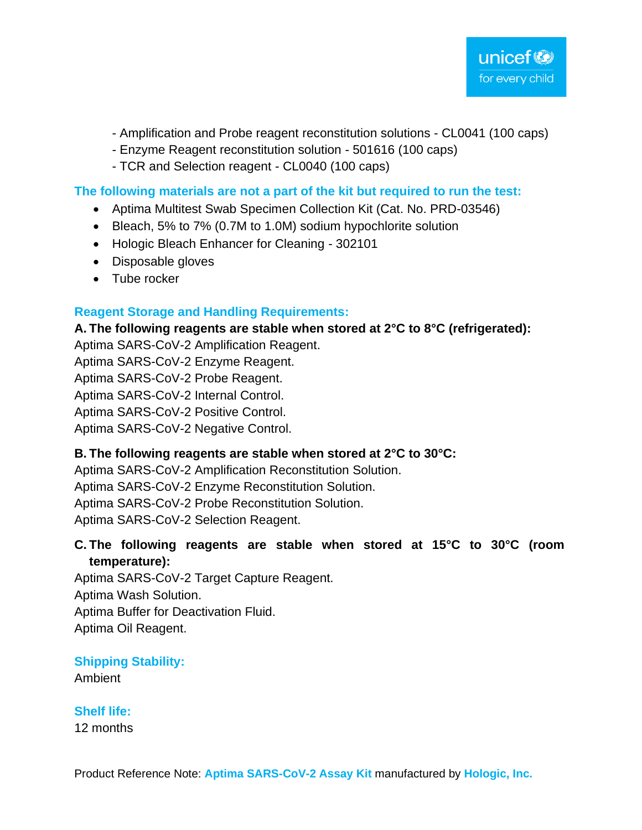- Amplification and Probe reagent reconstitution solutions CL0041 (100 caps)
- Enzyme Reagent reconstitution solution 501616 (100 caps)
- TCR and Selection reagent CL0040 (100 caps)

#### **The following materials are not a part of the kit but required to run the test:**

- Aptima Multitest Swab Specimen Collection Kit (Cat. No. PRD-03546)
- Bleach, 5% to 7% (0.7M to 1.0M) sodium hypochlorite solution
- Hologic Bleach Enhancer for Cleaning 302101
- Disposable gloves
- Tube rocker

## **Reagent Storage and Handling Requirements:**

**A. The following reagents are stable when stored at 2°C to 8°C (refrigerated):**

Aptima SARS-CoV-2 Amplification Reagent.

Aptima SARS-CoV-2 Enzyme Reagent.

Aptima SARS-CoV-2 Probe Reagent.

Aptima SARS-CoV-2 Internal Control.

Aptima SARS-CoV-2 Positive Control.

Aptima SARS-CoV-2 Negative Control.

# **B. The following reagents are stable when stored at 2°C to 30°C:**

Aptima SARS-CoV-2 Amplification Reconstitution Solution.

Aptima SARS-CoV-2 Enzyme Reconstitution Solution.

Aptima SARS-CoV-2 Probe Reconstitution Solution.

Aptima SARS-CoV-2 Selection Reagent.

## **C. The following reagents are stable when stored at 15°C to 30°C (room temperature):**

Aptima SARS-CoV-2 Target Capture Reagent. Aptima Wash Solution. Aptima Buffer for Deactivation Fluid. Aptima Oil Reagent.

# **Shipping Stability:**

Ambient

# **Shelf life:**

12 months